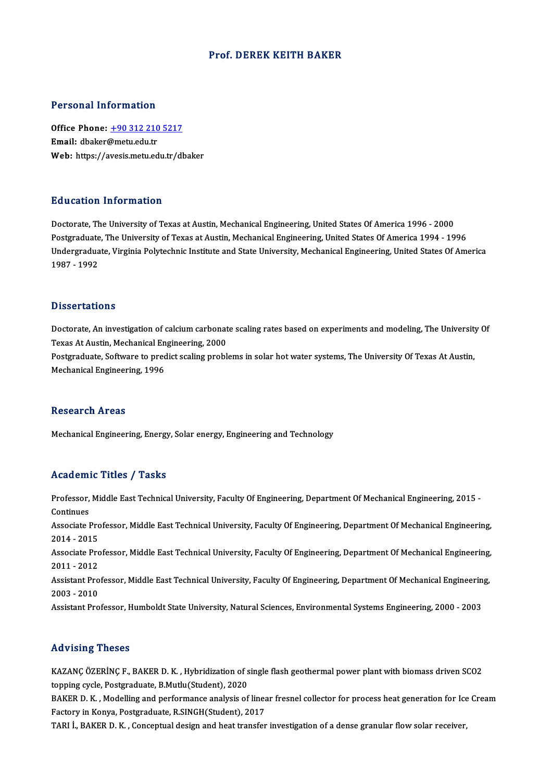#### Prof. DEREK KEITH BAKER

#### Personal Information

Personal Information<br>Office Phone: <u>+90 312 210 5217</u><br>Email: dhakar@matu.cdu.tr Fersonar Micromacion<br>Office Phone: <u>+90 312 210</u><br>Email: dbaker@metu.edu.tr Email: dbaker@metu.edu.tr<br>Web: https://a[vesis.metu.edu.tr/d](tel:+90 312 210 5217)baker

#### Education Information

Doctorate, The University of Texas at Austin, Mechanical Engineering, United States Of America 1996 - 2000 Putted Caston Timot Interion<br>Doctorate, The University of Texas at Austin, Mechanical Engineering, United States Of America 1996 - 2000<br>Undergraduate, Virginia Polytechnic Institute and State University, Mechanical Enginee Undergraduate, Virginia Polytechnic Institute and State University, Mechanical Engineering, United States Of America<br>1987 - 1992 Postgraduate<br>Undergradua<br>1987 - 1992

#### **Dissertations**

Dissertations<br>Doctorate, An investigation of calcium carbonate scaling rates based on experiments and modeling, The University Of<br>Taves At Austin, Mechanical Engineering, 2000.  $\sigma$ <br>Doctorate, An investigation of calcium carbonat<br>Texas At Austin, Mechanical Engineering, 2000<br>Restauduate, Seftuare to prodist scaling probl Doctorate, An investigation of calcium carbonate scaling rates based on experiments and modeling, The Universit<br>Texas At Austin, Mechanical Engineering, 2000<br>Postgraduate, Software to predict scaling problems in solar hot Texas At Austin, Mechanical Engineering, 2000<br>Postgraduate, Software to predict scaling problems in solar hot water systems, The University Of Texas At Austin,<br>Mechanical Engineering, 1996

#### **Research Areas**

Mechanical Engineering, Energy, Solar energy, Engineering and Technology

#### Academic Titles / Tasks

Academic Titles / Tasks<br>Professor, Middle East Technical University, Faculty Of Engineering, Department Of Mechanical Engineering, 2015<br>Continues Professor,<br>Continues<br>Associate I Professor, Middle East Technical University, Faculty Of Engineering, Department Of Mechanical Engineering, 2015<br>Continues<br>Associate Professor, Middle East Technical University, Faculty Of Engineering, Department Of Mechani Continues<br>Associate Pro<br>2014 - 2015<br>Associate Pro Associate Professor, Middle East Technical University, Faculty Of Engineering, Department Of Mechanical Engineering,<br>2014 - 2015<br>Associate Professor, Middle East Technical University, Faculty Of Engineering, Department Of 2014 - 2015<br>Associate Pro<br>2011 - 2012<br>Assistant Pro Associate Professor, Middle East Technical University, Faculty Of Engineering, Department Of Mechanical Engineering,<br>2011 - 2012<br>Assistant Professor, Middle East Technical University, Faculty Of Engineering, Department Of 2011 - 2012<br>Assistant Pro<br>2003 - 2010<br>Assistant Pro Assistant Professor, Middle East Technical University, Faculty Of Engineering, Department Of Mechanical Engineerin<br>2003 - 2010<br>Assistant Professor, Humboldt State University, Natural Sciences, Environmental Systems Enginee Assistant Professor, Humboldt State University, Natural Sciences, Environmental Systems Engineering, 2000 - 2003<br>Advising Theses

KAZANÇ ÖZERİNÇ F., BAKER D. K., Hybridization of single flash geothermal power plant with biomass driven SCO2 topping cycle, Postgraduate, B.Mutlu(Student), 2020 KAZANÇ ÖZERİNÇ F., BAKER D. K. , Hybridization of single flash geothermal power plant with biomass driven SCO2<br>topping cycle, Postgraduate, B.Mutlu(Student), 2020<br>BAKER D. K. , Modelling and performance analysis of linear

topping cycle, Postgraduate, B.Mutlu(Student), 2020<br>BAKER D. K. , Modelling and performance analysis of linear<br>Factory in Konya, Postgraduate, R.SINGH(Student), 2017<br>TABLL BAKER D. K., Consentual design and best transfor Factory in Konya, Postgraduate, R.SINGH(Student), 2017<br>TARI İ., BAKER D. K. , Conceptual design and heat transfer investigation of a dense granular flow solar receiver,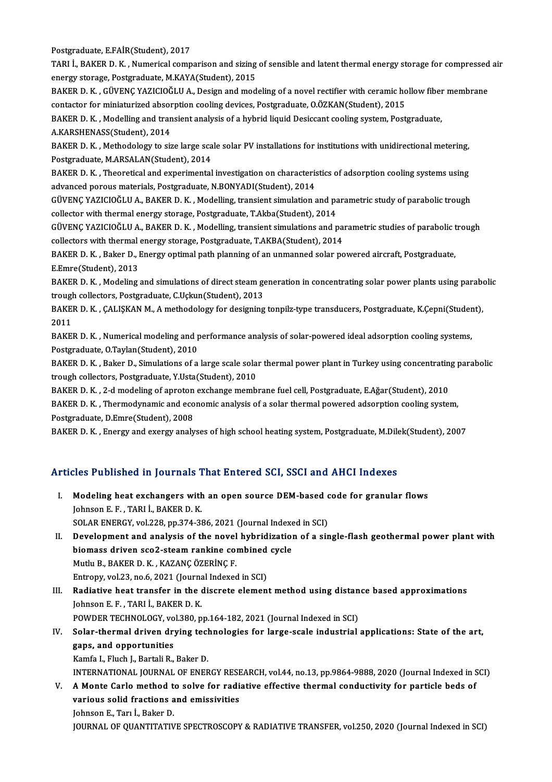Postgraduate, E.FAİR(Student), 2017

Postgraduate, E.FAİR(Student), 2017<br>TARI İ., BAKER D. K. , Numerical comparison and sizing of sensible and latent thermal energy storage for compressed air<br>spargy stanage, Bestgraduate, M.KAVA(Student), 2015 Postgraduate, E.FAİR(Student), 2017<br>TARI İ., BAKER D. K. , Numerical comparison and sizing<br>energy storage, Postgraduate, M.KAYA(Student), 2015<br>BAKER D. K., CÜVENC XAZICIQĞLILA, Desirp and mod TARI İ., BAKER D. K. , Numerical comparison and sizing of sensible and latent thermal energy storage for compressed<br>energy storage, Postgraduate, M.KAYA(Student), 2015<br>BAKER D. K. , GÜVENÇ YAZICIOĞLU A., Design and modelin

energy storage, Postgraduate, M.KAYA(Student), 2015<br>BAKER D. K. , GÜVENÇ YAZICIOĞLU A., Design and modeling of a novel rectifier with ceramic ho<br>contactor for miniaturized absorption cooling devices, Postgraduate, O.ÖZKAN( BAKER D. K. , GÜVENÇ YAZICIOĞLU A., Design and modeling of a novel rectifier with ceramic hollow fiber<br>contactor for miniaturized absorption cooling devices, Postgraduate, 0.ÖZKAN(Student), 2015<br>BAKER D. K. , Modelling and

contactor for miniaturized absorption cooling devices, Postgraduate, O.ÖZKAN(Student), 2015<br>BAKER D. K. , Modelling and transient analysis of a hybrid liquid Desiccant cooling system, Post<br>A.KARSHENASS(Student), 2014 BAKER D.K. , Modelling and transient analysis of a hybrid liquid Desiccant cooling system, Postgraduate, A.KARSHENASS(Student), 2014<br>BAKER D.K. , Methodology to size large scale solar PV installations for institutions with

BAKER D. K., Methodology to size large scale solar PV installations for institutions with unidirectional metering, BAKER D. K. , Methodology to size large scale solar PV installations for institutions with unidirectional metering,<br>Postgraduate, M.ARSALAN(Student), 2014<br>BAKER D. K. , Theoretical and experimental investigation on charact

Postgraduate, M.ARSALAN(Student), 2014<br>BAKER D. K. , Theoretical and experimental investigation on characteris<br>advanced porous materials, Postgraduate, N.BONYADI(Student), 2014<br>CÜVENC XAZICIQČLU A. PAKER D. K., Modelling, BAKER D. K. , Theoretical and experimental investigation on characteristics of adsorption cooling systems using<br>advanced porous materials, Postgraduate, N.BONYADI(Student), 2014<br>GÜVENÇ YAZICIOĞLU A., BAKER D. K. , Modellin

advanced porous materials, Postgraduate, N.BONYADI(Student), 2014<br>GÜVENÇ YAZICIOĞLU A., BAKER D. K. , Modelling, transient simulation and pa<br>collector with thermal energy storage, Postgraduate, T.Akba(Student), 2014<br>CÜVENC GÜVENÇ YAZICIOĞLU A., BAKER D. K. , Modelling, transient simulation and parametric study of parabolic trough<br>collector with thermal energy storage, Postgraduate, T.Akba(Student), 2014<br>GÜVENÇ YAZICIOĞLU A., BAKER D. K. , Mo

collector with thermal energy storage, Postgraduate, T.Akba(Student), 2014<br>GÜVENÇ YAZICIOĞLU A., BAKER D. K. , Modelling, transient simulations and par<br>collectors with thermal energy storage, Postgraduate, T.AKBA(Student), GÜVENÇ YAZICIOĞLU A., BAKER D. K. , Modelling, transient simulations and parametric studies of parabolic t<br>collectors with thermal energy storage, Postgraduate, T.AKBA(Student), 2014<br>BAKER D. K. , Baker D., Energy optimal

collectors with thermal energy storage, Postgraduate, T.AKBA(Student), 2014<br>BAKER D. K. , Baker D., Energy optimal path planning of an unmanned solar powered aircraft, Postgraduate,<br>E.Emre(Student), 2013 BAKER D. K. , Baker D., Energy optimal path planning of an unmanned solar powered aircraft, Postgraduate,<br>E.Emre(Student), 2013<br>BAKER D. K. , Modeling and simulations of direct steam generation in concentrating solar power

E.Emre(Student), 2013<br>BAKER D. K. , Modeling and simulations of direct steam general strough collectors, Postgraduate, C.Uçkun(Student), 2013<br>BAKER D. K., CALISKAN M. A mathodology for designing BAKER D. K. , Modeling and simulations of direct steam generation in concentrating solar power plants using parabo<br>trough collectors, Postgraduate, C.Uçkun(Student), 2013<br>BAKER D. K. , ÇALIŞKAN M., A methodology for design

trough collectors, Postgraduate, C.Uçkun(Student), 2013<br>BAKER D. K. , ÇALIŞKAN M., A methodology for designing tonpilz-type transducers, Postgraduate, K.Çepni(Studen<br>2011<br>BAKER D. K. , Numerical modeling and performance an BAKER D.K., CALISKAN M., A methodology for designing tonpilz-type transducers, Postgraduate, K.Cepni(Student),

Postgraduate, O.Taylan(Student), 2010 BAKER D. K. , Numerical modeling and performance analysis of solar-powered ideal adsorption cooling systems,<br>Postgraduate, O.Taylan(Student), 2010<br>BAKER D. K. , Baker D., Simulations of a large scale solar thermal power pl

Postgraduate, O.Taylan(Student), 2010<br>BAKER D. K. , Baker D., Simulations of a large scale sola<br>trough collectors, Postgraduate, Y.Usta(Student), 2010<br>BAKER D. K. - 2 d.modeling of annoton exchange memb BAKER D. K. , Baker D., Simulations of a large scale solar thermal power plant in Turkey using concentratin<br>trough collectors, Postgraduate, Y.Usta(Student), 2010<br>BAKER D. K. , 2-d modeling of aproton exchange membrane fue

BAKER D. K., 2-d modeling of aproton exchange membrane fuel cell, Postgraduate, E.Ağar(Student), 2010

trough collectors, Postgraduate, Y.Usta(Student), 2010<br>BAKER D. K. , 2-d modeling of aproton exchange membrane fuel cell, Postgraduate, E.Ağar(Student), 2010<br>BAKER D. K. , Thermodynamic and economic analysis of a solar the

BAKER D.K., Energy and exergy analyses of high school heating system, Postgraduate, M.Dilek(Student), 2007

#### Articles Published in Journals That Entered SCI, SSCI and AHCI Indexes

rticles Published in Journals That Entered SCI, SSCI and AHCI Indexes<br>I. Modeling heat exchangers with an open source DEM-based code for granular flows<br>Johnson E.E., TABLI, BAKER D.K. Modeling heat exchangers with<br>Johnson E.F., TARI İ., BAKER D. K.<br>SOLAR ENERCY val 229 an 274-28 Modeling heat exchangers with an open source DEM-based c<br>Johnson E. F., TARI İ., BAKER D. K.<br>SOLAR ENERGY, vol.228, pp.374-386, 2021 (Journal Indexed in SCI)<br>Development and analysis of the novel bybridization of a sin

Johnson E. F. , TARI İ., BAKER D. K.<br>SOLAR ENERGY, vol.228, pp.374-386, 2021 (Journal Indexed in SCI)<br>II. Development and analysis of the novel hybridization of a single-flash geothermal power plant with<br>biomass driven sco SOLAR ENERGY, vol.228, pp.374-386, 2021 (Journal Indexe<br>Development and analysis of the novel hybridization<br>biomass driven sco2-steam rankine combined cycle<br>Muthe B. BAKER D. K., KAZANGÖZERİNG E Mutlu B., BAKER D. K., KAZANÇ ÖZERİNÇ F. Mutlu B., BAKER D. K., KAZANÇ ÖZERİNÇ F.<br>Entropy, vol.23, no.6, 2021 (Journal Indexed in SCI)<br>III. Radiative heat transfer in the discrete element method using distance based approximations<br>Johnson E.E., TABLİ, BAKER D. K.

Entropy, vol.23, no.6, 2021 (Journal Indexed in SCI)

Entropy, vol.23, no.6, 2021 (Journa<br>Radiative heat transfer in the d<br>Johnson E. F. , TARI İ., BAKER D. K.<br>ROWDER TECHNOLOCY, vol.220. n Radiative heat transfer in the discrete element method using distan<br>Johnson E. F., TARI İ., BAKER D. K.<br>POWDER TECHNOLOGY, vol.380, pp.164-182, 2021 (Journal Indexed in SCI)<br>Selar thermal driven druing technologies for lar

Johnson E. F., TARI İ., BAKER D. K.<br>POWDER TECHNOLOGY, vol.380, pp.164-182, 2021 (Journal Indexed in SCI)<br>IV. Solar-thermal driven drying technologies for large-scale industrial applications: State of the art,<br>gang and app POWDER TECHNOLOGY, vo<br>Solar-thermal driven dry<br>gaps, and opportunities<br>Kamfa L Elush L Bartali B Solar-thermal driven drying tecl<br>gaps, and opportunities<br>Kamfa I., Fluch J., Bartali R., Baker D.<br>INTERNATIONAL JOURNAL OF ENER gaps, and opportunities<br>Kamfa I., Fluch J., Bartali R., Baker D.<br>INTERNATIONAL JOURNAL OF ENERGY RESEARCH, vol.44, no.13, pp.9864-9888, 2020 (Journal Indexed in SCI)

Kamfa I., Fluch J., Bartali R., Baker D.<br>INTERNATIONAL JOURNAL OF ENERGY RESEARCH, vol.44, no.13, pp.9864-9888, 2020 (Journal Indexed in S.<br>V. A Monte Carlo method to solve for radiative effective thermal conductivity for INTERNATIONAL JOURNAL OF ENERGY RESE<br>A Monte Carlo method to solve for radio<br>various solid fractions and emissivities<br>Johnson E. Tom <sup>i</sup>. Polson D. A Monte Carlo method t<br>various solid fractions a<br>Johnson E., Tarı İ., Baker D.<br>JOUPNAL OF OUANTITATIV various solid fractions and emissivities<br>Johnson E., Tarı İ., Baker D.<br>JOURNAL OF QUANTITATIVE SPECTROSCOPY & RADIATIVE TRANSFER, vol.250, 2020 (Journal Indexed in SCI)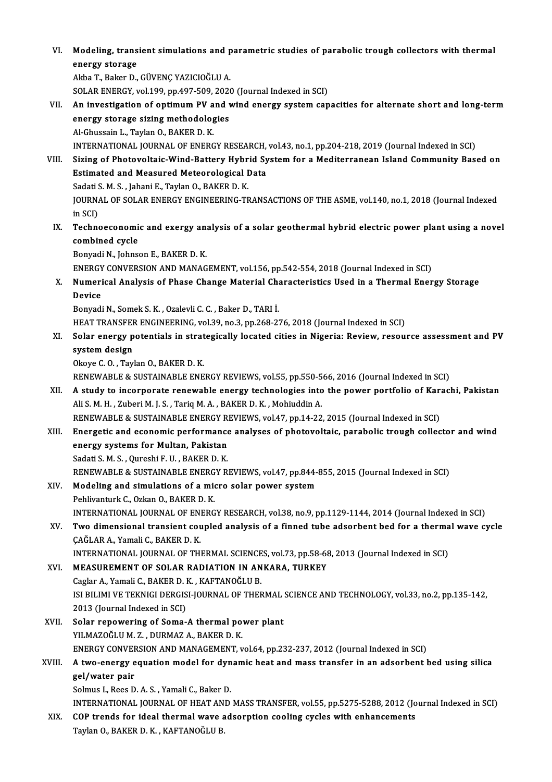VI. Modeling, transient simulations and parametric studies of parabolic trough collectors with thermal<br>Apongy stanses Modeling, trans<br>energy storage<br>Altha T. Bakar D. Modeling, transient simulations and p<br>energy storage<br>Akba T., Baker D., GÜVENÇ YAZICIOĞLU A.<br>SOLAP ENERCY vol 100 pp 407 500 2026

energy storage<br>Akba T., Baker D., GÜVENÇ YAZICIOĞLU A.<br>SOLAR ENERGY, vol.199, pp.497-509, 2020 (Journal Indexed in SCI)<br>An investisation of ontimum BV and wind onergy system san

Akba T., Baker D., GÜVENÇ YAZICIOĞLU A.<br>SOLAR ENERGY, vol.199, pp.497-509, 2020 (Journal Indexed in SCI)<br>VII. An investigation of optimum PV and wind energy system capacities for alternate short and long-term<br>energy st SOLAR ENERGY, vol.199, pp.497-509, 2020<br>An investigation of optimum PV and v<br>energy storage sizing methodologies<br>Al Chussain L. Taylan Q. BAKEP D. K. Al-Ghussain L., Taylan O., BAKER D. K. INTERNATIONAL JOURNALOF ENERGYRESEARCH,vol.43,no.1,pp.204-218,2019 (Journal Indexed inSCI) Al-Ghussain L., Taylan O., BAKER D. K.<br>INTERNATIONAL JOURNAL OF ENERGY RESEARCH, vol.43, no.1, pp.204-218, 2019 (Journal Indexed in SCI)<br>VIII. Sizing of Photovoltaic-Wind-Battery Hybrid System for a Mediterranean Island

- INTERNATIONAL JOURNAL OF ENERGY RESEARCH,<br>Sizing of Photovoltaic-Wind-Battery Hybrid Sy<br>Estimated and Measured Meteorological Data<br>Sedati S.M. S., Jabani E. Taylan O. BAKER D.K. Sizing of Photovoltaic-Wind-Battery Hybr<br>Estimated and Measured Meteorological I<br>Sadati S. M. S. , Jahani E., Taylan O., BAKER D. K.<br>JOUPNAL OF SOLAR ENERCY ENCINEERING TE Estimated and Measured Meteorological Data<br>Sadati S. M. S. , Jahani E., Taylan O., BAKER D. K.<br>JOURNAL OF SOLAR ENERGY ENGINEERING-TRANSACTIONS OF THE ASME, vol.140, no.1, 2018 (Journal Indexed<br>in SCI) Sadati S. M. S., Jahani E., Taylan O., BAKER D. K. JOURNAL OF SOLAR ENERGY ENGINEERING-TRANSACTIONS OF THE ASME, vol.140, no.1, 2018 (Journal Indexed<br>in SCI)<br>IX. Technoeconomic and exergy analysis of a solar geothermal hybrid electric power plant using a novel<br>combined qua
- in SCI)<br>Technoeconomi<br>combined cycle<br><sup>Ronyndi N.</sup> Johns Technoeconomic and exergy an:<br>combined cycle<br>Bonyadi N., Johnson E., BAKER D. K.<br>ENEDCY CONVERSION AND MANAC combined cycle<br>Bonyadi N., Johnson E., BAKER D. K.<br>ENERGY CONVERSION AND MANAGEMENT, vol.156, pp.542-554, 2018 (Journal Indexed in SCI)

Bonyadi N., Johnson E., BAKER D. K.<br>ENERGY CONVERSION AND MANAGEMENT, vol.156, pp.542-554, 2018 (Journal Indexed in SCI)<br>X. Numerical Analysis of Phase Change Material Characteristics Used in a Thermal Energy Storage<br>P ENERGY<br>Numeri<br>Device<br><sup>Ronvedi</sup> Numerical Analysis of Phase Change Material Ch:<br>Device<br>Bonyadi N., Somek S. K. , Ozalevli C. C. , Baker D., TARI İ.<br>HEAT TRANSEER ENCINEERING, val 30. no 3. nn 269.2.

Device<br>Bonyadi N., Somek S. K. , Ozalevli C. C. , Baker D., TARI İ.<br>HEAT TRANSFER ENGINEERING, vol.39, no.3, pp.268-276, 2018 (Journal Indexed in SCI)

XI. Solar energy potentials in strategically located cities in Nigeria: Review, resource assessment and PV system design system design<br>Okoye C. O. , Taylan O., BAKER D. K.<br>RENEWABLE & SUSTAINABLE ENERGY REVIEWS, vol.55, pp.550-566, 2016 (Journal Indexed in SCI)<br>A study to incorporate renewable energy technologies into the newer pertfolie of

Okoye C.O., Taylan O., BAKER D.K.

- Okoye C. O., Taylan O., BAKER D. K.<br>RENEWABLE & SUSTAINABLE ENERGY REVIEWS, vol.55, pp.550-566, 2016 (Journal Indexed in SCI)<br>XII. A study to incorporate renewable energy technologies into the power portfolio of Karachi, P RENEWABLE & SUSTAINABLE ENERGY REVIEWS, vol.55, pp.550-5<br>A study to incorporate renewable energy technologies into<br>Ali S. M. H. , Zuberi M. J. S. , Tariq M. A. , BAKER D. K. , Mohiuddin A.<br>RENEWARLE & SUSTAINARLE ENERCY RE A study to incorporate renewable energy technologies into the power portfolio of Karachi, Pakistan<br>Ali S. M. H. , Zuberi M. J. S. , Tariq M. A. , BAKER D. K. , Mohiuddin A.<br>RENEWABLE & SUSTAINABLE ENERGY REVIEWS, vol.47, p
- Ali S. M. H. , Zuberi M. J. S. , Tariq M. A. , BAKER D. K. , Mohiuddin A.<br>RENEWABLE & SUSTAINABLE ENERGY REVIEWS, vol.47, pp.14-22, 2015 (Journal Indexed in SCI)<br>XIII. Energetic and economic performance analyses of pho RENEWABLE & SUSTAINABLE ENERGY R<br>Energetic and economic performance<br>energy systems for Multan, Pakistan Energetic and economic performance<br>energy systems for Multan, Pakistan<br>Sadati S. M. S. , Qureshi F. U. , BAKER D. K.<br>PENEWAPLE & SUSTAINAPLE ENERCY P. energy systems for Multan, Pakistan<br>Sadati S. M. S. , Qureshi F. U. , BAKER D. K.<br>RENEWABLE & SUSTAINABLE ENERGY REVIEWS, vol.47, pp.844-855, 2015 (Journal Indexed in SCI)<br>Modeling and simulations of a misne seler noves sy Sadati S. M. S. , Qureshi F. U. , BAKER D. K.<br>RENEWABLE & SUSTAINABLE ENERGY REVIEWS, vol.47, pp.844-<br>XIV. Modeling and simulations of a micro solar power system<br>Pehlivanturk C., Ozkan O., BAKER D. K.

- 
- RENEWABLE & SUSTAINABLE ENERG<br>Modeling and simulations of a mid<br>Pehlivanturk C., Ozkan O., BAKER D. K.<br>INTERNATIONAL JOURNAL OF ENERG Modeling and simulations of a micro solar power system<br>Pehlivanturk C., Ozkan O., BAKER D. K.<br>INTERNATIONAL JOURNAL OF ENERGY RESEARCH, vol.38, no.9, pp.1129-1144, 2014 (Journal Indexed in SCI)<br>Ture dimensional transient s
- XV. Two dimensional transient coupled analysis of a finned tube adsorbent bed for a thermal wave cycle CAGLAR A., Yamali C., BAKER D. K. INTERNATIONAL JOURNAL OF EN<br><mark>Two dimensional transient co</mark>u<br>ÇAĞLAR A., Yamali C., BAKER D. K.<br>INTERNATIONAL JOURNAL OF TH Two dimensional transient coupled analysis of a finned tube adsorbent bed for a therma<br>ÇAĞLAR A., Yamali C., BAKER D. K.<br>INTERNATIONAL JOURNAL OF THERMAL SCIENCES, vol.73, pp.58-68, 2013 (Journal Indexed in SCI)<br>MEASUREMEN

CAĞLAR A., Yamali C., BAKER D. K.<br>INTERNATIONAL JOURNAL OF THERMAL SCIENCES, vol.73, pp.58-68<br>XVI. MEASUREMENT OF SOLAR RADIATION IN ANKARA, TURKEY INTERNATIONAL JOURNAL OF THERMAL SCIENCE<br>MEASUREMENT OF SOLAR RADIATION IN AN<br>Caglar A., Yamali C., BAKER D. K. , KAFTANOĞLU B.<br>ISLEVI IMLVE TEKNICL DERCISLIQUENAL OF THEF MEASUREMENT OF SOLAR RADIATION IN ANKARA, TURKEY<br>Caglar A., Yamali C., BAKER D. K. , KAFTANOĞLU B.<br>ISI BILIMI VE TEKNIGI DERGISI-JOURNAL OF THERMAL SCIENCE AND TECHNOLOGY, vol.33, no.2, pp.135-142,<br>2012 (Jaurnal Indoved in Caglar A., Yamali C., BAKER D. I<br>ISI BILIMI VE TEKNIGI DERGIS<br>2013 (Journal Indexed in SCI)<br>Selar renewering of Some ISI BILIMI VE TEKNIGI DERGISI-JOURNAL OF THERMAL<br>2013 (Journal Indexed in SCI)<br>XVII. Solar repowering of Soma-A thermal power plant<br>VII MAZOČLIJM Z DIPMAZA PAKER D K

2013 (Journal Indexed in SCI)<br>Solar repowering of Soma-A thermal po<br>YILMAZOĞLU M. Z. , DURMAZ A., BAKER D. K.<br>ENEPCY CONVERSION AND MANACEMENT v Solar repowering of Soma-A thermal power plant<br>YILMAZOĞLU M. Z. , DURMAZ A., BAKER D. K.<br>ENERGY CONVERSION AND MANAGEMENT, vol.64, pp.232-237, 2012 (Journal Indexed in SCI)<br>A two energy equation model for dynamic heat and YILMAZOĞLU M. Z. , DURMAZ A., BAKER D. K.<br>ENERGY CONVERSION AND MANAGEMENT, vol.64, pp.232-237, 2012 (Journal Indexed in SCI)<br>XVIII. A two-energy equation model for dynamic heat and mass transfer in an adsorbent bed us

### ENERGY CONVER<br>A two-energy e<br>gel/water pair<br>Selmus L Bees D A two-energy equation model for dyn<br>gel/water pair<br>Solmus I., Rees D. A. S. , Yamali C., Baker D.<br>INTERNATIONAL JOURNAL OF HEAT AND gel/water pair<br>Solmus I., Rees D. A. S. , Yamali C., Baker D.<br>INTERNATIONAL JOURNAL OF HEAT AND MASS TRANSFER, vol.55, pp.5275-5288, 2012 (Journal Indexed in SCI)

Solmus I., Rees D. A. S. , Yamali C., Baker D.<br>INTERNATIONAL JOURNAL OF HEAT AND MASS TRANSFER, vol.55, pp.5275-5288, 2012 (Jo<br>XIX. COP trends for ideal thermal wave adsorption cooling cycles with enhancements<br>Taylan O. BA INTERNATIONAL JOURNAL OF HEAT AN<br><mark>COP trends for ideal thermal wave</mark> a<br>Taylan O., BAKER D. K. , KAFTANOĞLU B.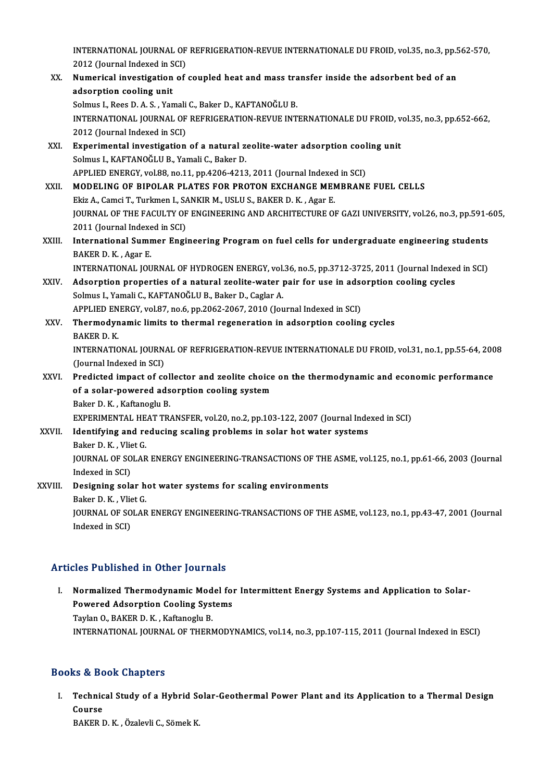INTERNATIONAL JOURNAL OF REFRIGERATION-REVUE INTERNATIONALE DU FROID, vol.35, no.3, pp.562-570,<br>2012 (Jaurnal Indoved in SCI) INTERNATIONAL JOURNAL OF<br>2012 (Journal Indexed in SCI)<br>Numerisel investigation of INTERNATIONAL JOURNAL OF REFRIGERATION-REVUE INTERNATIONALE DU FROID, vol.35, no.3, pp.5<br>2012 (Journal Indexed in SCI)<br>XX. Numerical investigation of coupled heat and mass transfer inside the adsorbent bed of an

- 2012 (Journal Indexed in SCI)<br>XX. Numerical investigation of coupled heat and mass transfer inside the adsorbent bed of an<br>adsorption cooling unit Solmus I., Rees D. A. S., Yamali C., Baker D., KAFTANOĞLU B. adsorption cooling unit<br>Solmus I., Rees D. A. S. , Yamali C., Baker D., KAFTANOĞLU B.<br>INTERNATIONAL JOURNAL OF REFRIGERATION-REVUE INTERNATIONALE DU FROID, vol.35, no.3, pp.652-662,<br>2012 (Jaurnal Indoved in SCD Solmus I., Rees D. A. S. , Yamali<br>INTERNATIONAL JOURNAL OF<br>2012 (Journal Indexed in SCI)<br>Experimental investigation INTERNATIONAL JOURNAL OF REFRIGERATION-REVUE INTERNATIONALE DU FROID, v<br>2012 (Journal Indexed in SCI)<br>XXI. Experimental investigation of a natural zeolite-water adsorption cooling unit<br>Solmus L KAETANOČLU B. Vamali G. Baka
- 2012 (Journal Indexed in SCI)<br>Experimental investigation of a natural zeolite-water adsorption cooling unit<br>Solmus I., KAFTANOĞLU B., Yamali C., Baker D. Experimental investigation of a natural zeolite-water adsorption cool<br>Solmus I., KAFTANOĞLU B., Yamali C., Baker D.<br>APPLIED ENERGY, vol.88, no.11, pp.4206-4213, 2011 (Journal Indexed in SCI)<br>MODELING OF PIPOLAR BLATES FOR
- XXII. MODELING OF BIPOLAR PLATES FOR PROTON EXCHANGE MEMBRANE FUEL CELLS<br>Ekiz A., Camci T., Turkmen I., SANKIR M., USLU S., BAKER D. K., Agar E. APPLIED ENERGY, vol.88, no.11, pp.4206-4213, 2011 (Journal Indexed MODELING OF BIPOLAR PLATES FOR PROTON EXCHANGE MENTRIES AND APPLITE AND ARGUITE AND ARGUITE OF FOURMAL OF THE BACULTY OF ENCINEERING AND APGUITECTURE OF JOURNAL OF THE FACULTY OF ENGINEERING AND ARCHITECTURE OF GAZI UNIVERSITY, vol.26, no.3, pp.591-605, Ekiz A., Camci T., Turkmen I., S*A*<br>JOURNAL OF THE FACULTY OF<br>2011 (Journal Indexed in SCI)<br>International Summer Engi JOURNAL OF THE FACULTY OF ENGINEERING AND ARCHITECTURE OF GAZI UNIVERSITY, vol.26, no.3, pp.591-6<br>2011 (Journal Indexed in SCI)<br>XXIII. International Summer Engineering Program on fuel cells for undergraduate engineering st
- 2011 (Journal Indexe<br>International Sumr<br>BAKER D. K. , Agar E.<br>INTERNATIONAL JOU International Summer Engineering Program on fuel cells for undergraduate engineering students<br>BAKER D. K. , Agar E.<br>INTERNATIONAL JOURNAL OF HYDROGEN ENERGY, vol.36, no.5, pp.3712-3725, 2011 (Journal Indexed in SCI)<br>Adeemt

- BAKER D. K., Agar E.<br>INTERNATIONAL JOURNAL OF HYDROGEN ENERGY, vol.36, no.5, pp.3712-3725, 2011 (Journal Indexer<br>XXIV. Adsorption properties of a natural zeolite-water pair for use in adsorption cooling cycles<br>Selmual Vame INTERNATIONAL JOURNAL OF HYDROGEN ENERGY, vol.<br>Adsorption properties of a natural zeolite-water <sub>]</sub><br>Solmus I., Yamali C., KAFTANOĞLU B., Baker D., Caglar A.<br>APRLIED ENERGY .vol.27, ne 6, np.2062-2067-2010 (Jou Adsorption properties of a natural zeolite-water pair for use in adsorption such a and the Solmus I., Yamali C., KAFTANOĞLU B., Baker D., Caglar A.<br>APPLIED ENERGY, vol.87, no.6, pp.2062-2067, 2010 (Journal Indexed in SCI)<br>
- Solmus I., Yamali C., KAFTANOĞLU B., Baker D., Caglar A.<br>APPLIED ENERGY, vol.87, no.6, pp.2062-2067, 2010 (Journal Indexed in SCI)<br>XXV. Thermodynamic limits to thermal regeneration in adsorption cooling cycles<br>BAKER D. K. **APPLIED EN<br>Thermodyn<br>BAKER D. K.<br>INTEPNATIC** Thermodynamic limits to thermal regeneration in adsorption cooling cycles<br>BAKER D. K.<br>INTERNATIONAL JOURNAL OF REFRIGERATION-REVUE INTERNATIONALE DU FROID, vol.31, no.1, pp.55-64, 2008<br>(Journal Indoved in SCD BAKER D. K.<br>INTERNATIONAL JOURN.<br>(Journal Indexed in SCI)<br>Prodisted impact of se INTERNATIONAL JOURNAL OF REFRIGERATION-REVUE INTERNATIONALE DU FROID, vol.31, no.1, pp.55-64, 200<br>(Journal Indexed in SCI)<br>XXVI. Predicted impact of collector and zeolite choice on the thermodynamic and economic performanc
- (Journal Indexed in SCI)<br>Predicted impact of collector and zeolite choice<br>of a solar-powered adsorption cooling system<br>Paker D.K., Kaftaneglu B. Predicted impact of col<br>of a solar-powered ads<br>Baker D. K. , Kaftanoglu B.<br>EXPEDIMENTAL HEAT TR. of a solar-powered adsorption cooling system<br>Baker D. K. , Kaftanoglu B.<br>EXPERIMENTAL HEAT TRANSFER, vol.20, no.2, pp.103-122, 2007 (Journal Indexed in SCI)

### Baker D. K., Kaftanoglu B.<br>EXPERIMENTAL HEAT TRANSFER, vol.20, no.2, pp.103-122, 2007 (Journal Inde<br>XXVII. Identifying and reducing scaling problems in solar hot water systems<br>Peker D. K., Vlist C. EXPERIMENTAL HE<br>Identifying and re<br>Baker D. K. , Vliet G.<br>JOUPNAL OF SOLAR Identifying and reducing scaling problems in solar hot water systems<br>Baker D. K. , Vliet G.<br>JOURNAL OF SOLAR ENERGY ENGINEERING-TRANSACTIONS OF THE ASME, vol.125, no.1, pp.61-66, 2003 (Journal<br>Indeved in SCD. Baker D. K. , Vlie<br>JOURNAL OF SO<br>Indexed in SCI)<br>Dosigning colo JOURNAL OF SOLAR ENERGY ENGINEERING-TRANSACTIONS OF THE<br>Indexed in SCI)<br>XXVIII. Designing solar hot water systems for scaling environments<br>Bakan D K, Vliat C

# Indexed in SCI)<br>Designing solar h<br>Baker D. K. , Vliet G.<br>JOUPNAL OF SOLAR

Designing solar hot water systems for scaling environments<br>Baker D. K. , Vliet G.<br>JOURNAL OF SOLAR ENERGY ENGINEERING-TRANSACTIONS OF THE ASME, vol.123, no.1, pp.43-47, 2001 (Journal<br>Indeved in SCD. Baker D. K. , Vlie<br>JOURNAL OF SO<br>Indexed in SCI)

# Articles Published in Other Journals

I. Tricles Published in Other Journals<br>I. Normalized Thermodynamic Model for Intermittent Energy Systems and Application to Solar-<br>Rewered Adserntion Cooling Systems Normalized Thermodynamic Model for<br>Powered Adsorption Cooling Systems<br>Taylan O, BAKER D, K., Kaftanaghi B Normalized Thermodynamic Mod<br>Powered Adsorption Cooling Syst<br>Taylan O., BAKER D. K. , Kaftanoglu B.<br>INTERNATIONAL JOURNAL OF THERN Powered Adsorption Cooling Systems<br>Taylan O., BAKER D. K. , Kaftanoglu B.<br>INTERNATIONAL JOURNAL OF THERMODYNAMICS, vol.14, no.3, pp.107-115, 2011 (Journal Indexed in ESCI)

#### Books&Book Chapters

ooks & Book Chapters<br>I. Technical Study of a Hybrid Solar-Geothermal Power Plant and its Application to a Thermal Design<br>Course Technic<br>Technic<br><sub>PAKEP I</sub> Technical Study of a Hybrid So<br>Course<br>BAKER D. K. , Özalevli C., Sömek K.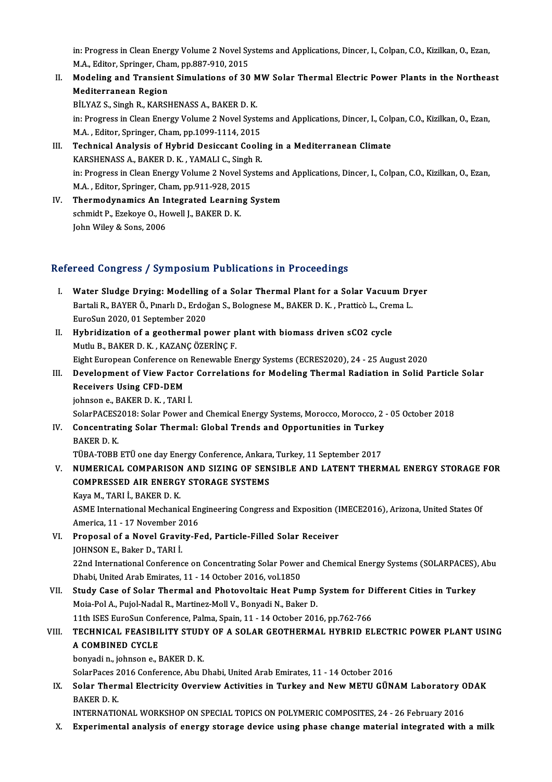in: Progress in Clean Energy Volume 2 Novel Systems and Applications, Dincer, I., Colpan, C.O., Kizilkan, O., Ezan,<br>M.A., Editer, Springer, Cham, pp.997,010, 2015 in: Progress in Clean Energy Volume 2 Novel Sy<br>M.A., Editor, Springer, Cham, pp.887-910, 2015<br>Medeling and Transient Simulations of 30 in: Progress in Clean Energy Volume 2 Novel Systems and Applications, Dincer, I., Colpan, C.O., Kizilkan, O., Ezan,<br>M.A., Editor, Springer, Cham, pp.887-910, 2015<br>II. Modeling and Transient Simulations of 30 MW Solar Therm

- M.A., Editor, Springer, Cham, pp.887-910, 2015<br>II. Modeling and Transient Simulations of 30 MW Solar Thermal Electric Power Plants in the Northeast<br>Mediterranean Region BİLYAZ S., Singh R., KARSHENASS A., BAKER D. K. Mediterranean Region<br>BİLYAZ S., Singh R., KARSHENASS A., BAKER D. K.<br>in: Progress in Clean Energy Volume 2 Novel Systems and Applications, Dincer, I., Colpan, C.O., Kizilkan, O., Ezan,<br>M.A., Editor, Springer, Cham, np.1099 BİLYAZ S., Singh R., KARSHENASS A., BAKER D. K.<br>in: Progress in Clean Energy Volume 2 Novel Syste<br>M.A. , Editor, Springer, Cham, pp.1099-1114, 2015<br>Technisel Analysis of Hybrid Desissant Cooli in: Progress in Clean Energy Volume 2 Novel Systems and Applications, Dincer, I., Colp<br>M.A., Editor, Springer, Cham, pp.1099-1114, 2015<br>III. Technical Analysis of Hybrid Desiccant Cooling in a Mediterranean Climate<br>KARSUEN
- M.A., Editor, Springer, Cham, pp.1099-1114, 2015<br>Technical Analysis of Hybrid Desiccant Cooli<br>KARSHENASS A., BAKER D. K., YAMALI C., Singh R. Technical Analysis of Hybrid Desiccant Cooling in a Mediterranean Climate<br>KARSHENASS A., BAKER D. K. , YAMALI C., Singh R.<br>in: Progress in Clean Energy Volume 2 Novel Systems and Applications, Dincer, I., Colpan, C.O., Kiz KARSHENASS A., BAKER D. K. , YAMALI C., Singh<br>in: Progress in Clean Energy Volume 2 Novel Sy:<br>M.A. , Editor, Springer, Cham, pp.911-928, 2015<br>Thermodynamics An Integrated Learning S M.A., Editor, Springer, Cham, pp.911-928, 2015
- IV. Thermodynamics An Integrated Learning System<br>schmidt P., Ezekoye O., Howell J., BAKER D. K. John Wiley & Sons, 2006

#### Refereed Congress / Symposium Publications in Proceedings

- I. Water Sludge Drying: Modelling of a Solar Thermal Plant for a Solar Vacuum Dryer Poca Gongress / Symposium I ushcations in I roceeuings<br>Water Sludge Drying: Modelling of a Solar Thermal Plant for a Solar Vacuum Dr<br>Bartali R., BAYER Ö., Pınarlı D., Erdoğan S., Bolognese M., BAKER D. K. , Pratticò L., Cr Water Sludge Drying: Modelling<br>Bartali R., BAYER Ö., Pınarlı D., Erdoğ<br>EuroSun 2020, 01 September 2020<br>Hybridization of a seathermal n Bartali R., BAYER Ö., Pınarlı D., Erdoğan S., Bolognese M., BAKER D. K., Pratticò L., Crei<br>EuroSun 2020, 01 September 2020<br>II. Hybridization of a geothermal power plant with biomass driven sCO2 cycle<br>Muthi B. BAKER D. K.,
- EuroSun 2020, 01 September 2020<br>Hybridization of a geothermal power p<br>Mutlu B., BAKER D. K. , KAZANÇ ÖZERİNÇ F.<br>Fisht European Conference en Bonewable E Hybridization of a geothermal power plant with biomass driven sCO2 cycle<br>Mutlu B., BAKER D. K., KAZANÇ ÖZERİNÇ F.<br>Eight European Conference on Renewable Energy Systems (ECRES2020), 24 - 25 August 2020<br>Davelopment of View E
- Mutlu B., BAKER D. K. , KAZANÇ ÖZERİNÇ F.<br>Eight European Conference on Renewable Energy Systems (ECRES2020), 24 25 August 2020<br>III. Development of View Factor Correlations for Modeling Thermal Radiation in Solid Part Eight European Conference on<br>Development of View Facto<br>Receivers Using CFD-DEM<br>ishneen e PAKEP D K. TABL Development of View Factor<br>Receivers Using CFD-DEM<br>johnson e., BAKER D. K. , TARI İ.<br>SelarPACES2019: Selar Pewer a Receivers Using CFD-DEM<br>johnson e., BAKER D. K. , TARI İ.<br>SolarPACES2018: Solar Power and Chemical Energy Systems, Morocco, Morocco, 2 - 05 October 2018

johnson e., BAKER D. K. , TARI İ.<br>SolarPACES2018: Solar Power and Chemical Energy Systems, Morocco, Morocco, 2<br>IV. Concentrating Solar Thermal: Global Trends and Opportunities in Turkey<br>BAKER D. K. SolarPACES2<br>Concentrat<br>BAKER D. K.<br>TÜPA TOPP Concentrating Solar Thermal: Global Trends and Opportunities in Turkey<br>BAKER D. K.<br>TÜBA-TOBB ETÜ one day Energy Conference, Ankara, Turkey, 11 September 2017<br>NUMERICAL COMPARISON AND SIZING OF SENSIRLE AND LATENT TUERN

TÜBA-TOBB ETÜ one day Energy Conference, Ankara, Turkey, 11 September 2017

BAKER D. K.<br>TÜBA-TOBB ETÜ one day Energy Conference, Ankara, Turkey, 11 September 2017<br>V. NUMERICAL COMPARISON AND SIZING OF SENSIBLE AND LATENT THERMAL ENERGY STORAGE FOR<br>COMPRESSED AIR ENERGY STORAGE SYSTEMS KayaM.,TARI İ.,BAKERD.K.

COMPRESSED AIR ENERGY STORAGE SYSTEMS<br>Kaya M., TARI İ., BAKER D. K.<br>ASME International Mechanical Engineering Congress and Exposition (IMECE2016), Arizona, United States Of<br>America, 11, 17 Nevember 2016 Kaya M., TARI İ., BAKER D. K.<br>ASME International Mechanical En<br>America, 11 - 17 November 2016<br>Proposal of a Novel Cravity E. America, 11 - 17 November 2016<br>VI. Proposal of a Novel Gravity-Fed, Particle-Filled Solar Receiver

- JOHNSONE.,BakerD.,TARI İ. Proposal of a Novel Gravity-Fed, Particle-Filled Solar Receiver<br>JOHNSON E., Baker D., TARI İ.<br>22nd International Conference on Concentrating Solar Power and Chemical Energy Systems (SOLARPACES), Abu<br>Phobi United Arab Emira JOHNSON E., Baker D., TARI İ.<br>22nd International Conference on Concentrating Solar Power<br>Dhabi, United Arab Emirates, 11 - 14 October 2016, vol.1850<br>Study Gase of Solar Thermal and Photovoltais Heat Pu 22nd International Conference on Concentrating Solar Power and Chemical Energy Systems (SOLARPACES),<br>Dhabi, United Arab Emirates, 11 - 14 October 2016, vol.1850<br>VII. Study Case of Solar Thermal and Photovoltaic Heat Pump S
- Dhabi, United Arab Emirates, 11 14 October 2016, vol.1850<br>Study Case of Solar Thermal and Photovoltaic Heat Pump<br>Moia-Pol A., Pujol-Nadal R., Martinez-Moll V., Bonyadi N., Baker D.<br>11th ISES EuroSun Conference Pelme Spei Study Case of Solar Thermal and Photovoltaic Heat Pump System for D<br>Moia-Pol A., Pujol-Nadal R., Martinez-Moll V., Bonyadi N., Baker D.<br>11th ISES EuroSun Conference, Palma, Spain, 11 - 14 October 2016, pp.762-766<br>TECHNICAL

Moia-Pol A., Pujol-Nadal R., Martinez-Moll V., Bonyadi N., Baker D.<br>11th ISES EuroSun Conference, Palma, Spain, 11 - 14 October 2016, pp.762-766<br>VIII. TECHNICAL FEASIBILITY STUDY OF A SOLAR GEOTHERMAL HYBRID ELECTRIC P 11th ISES EuroSun Conference, Palma, Spain, 11 - 14 October 2016, pp.762-766<br>TECHNICAL FEASIBILITY STUDY OF A SOLAR GEOTHERMAL HYBRID EI<br>A COMBINED CYCLE<br>bonyadi n., johnson e., BAKER D. K. **TECHNICAL FEASIBILITY STUD<br>A COMBINED CYCLE<br>bonyadin., johnson e., BAKER D. K.<br>SelerPages 2016 Conference. Abu E** 

SolarPaces2016Conference,AbuDhabi,UnitedArabEmirates,11 -14October 2016

bonyadi n., johnson e., BAKER D. K.<br>SolarPaces 2016 Conference, Abu Dhabi, United Arab Emirates, 11 - 14 October 2016<br>IX. Solar Thermal Electricity Overview Activities in Turkey and New METU GÜNAM Laboratory ODAK<br>RAKER D. SolarPaces 2<br>S<mark>olar Theri</mark><br>BAKER D. K.<br>INTERNATIC Solar Thermal Electricity Overview Activities in Turkey and New METU GÜNAM Laboratory O<br>BAKER D. K.<br>INTERNATIONAL WORKSHOP ON SPECIAL TOPICS ON POLYMERIC COMPOSITES, 24 - 26 February 2016<br>Eunerimental analysis of energy st BAKER D. K.<br>INTERNATIONAL WORKSHOP ON SPECIAL TOPICS ON POLYMERIC COMPOSITES, 24 - 26 February 2016<br>X. Experimental analysis of energy storage device using phase change material integrated with a milk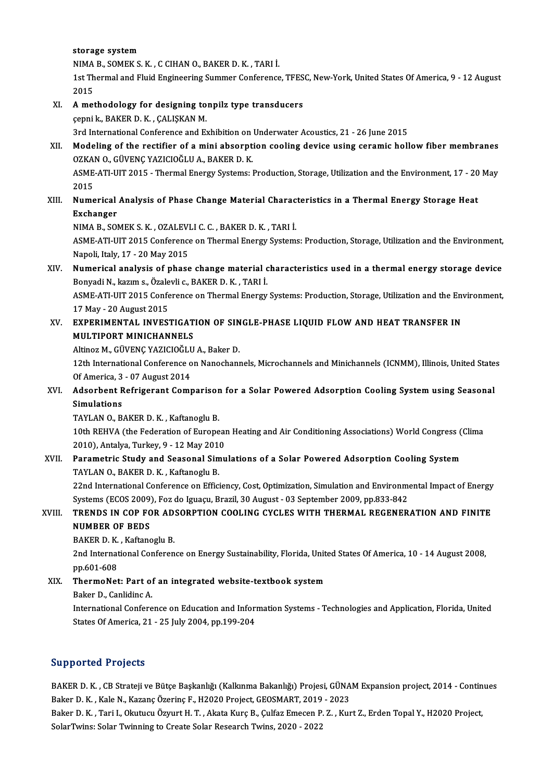storage system

NIMAB.,SOMEKS.K. ,CCIHANO.,BAKERD.K. ,TARI İ.

storage system<br>NIMA B., SOMEK S. K. , C CIHAN O., BAKER D. K. , TARI İ.<br>1st Thermal and Fluid Engineering Summer Conference, TFESC, New-York, United States Of America, 9 - 12 August NIMA<br>1st Th<br>2015 1st Thermal and Fluid Engineering Summer Conference, TFES<br>2015<br>XI. A methodology for designing tonpilz type transducers<br>conpile BAKER D K, CALISKAN M

## 2015<br>A methodology for designing to<br>çepnik., BAKER D.K. , ÇALIŞKAN M.<br>2rd International Conference and Ex 3rd InternationalConference and Exhibition on Underwater Acoustics, 21 - 26 June 2015<br>3rd International Conference and Exhibition on Underwater Acoustics, 21 - 26 June 2015<br>Modeling of the restifier of a mini absorption so

cepni k., BAKER D. K. , CALIŞKAN M.<br>3rd International Conference and Exhibition on Underwater Acoustics, 21 - 26 June 2015<br>XII. Modeling of the rectifier of a mini absorption cooling device using ceramic hollow fiber membr 3rd International Conference and Exhibition on<br>Modeling of the rectifier of a mini absorpt<br>OZKAN O., GÜVENÇ YAZICIOĞLU A., BAKER D. K.<br>ASME ATI ULT 2015 - Thermal Energy Systems: L Modeling of the rectifier of a mini absorption cooling device using ceramic hollow fiber membranes<br>OZKAN O., GÜVENÇ YAZICIOĞLU A., BAKER D. K.<br>ASME-ATI-UIT 2015 - Thermal Energy Systems: Production, Storage, Utilization an

0ZKA<br>ASME<br>2015<br>Nume ASME-ATI-UIT 2015 - Thermal Energy Systems: Production, Storage, Utilization and the Environment, 17 - 20<br>2015<br>XIII. Numerical Analysis of Phase Change Material Characteristics in a Thermal Energy Storage Heat<br>Exchanger

### 2015<br>XIII. Numerical Analysis of Phase Change Material Characteristics in a Thermal Energy Storage Heat<br>Exchanger Numerical Analysis of Phase Change Material Charac<br>Exchanger<br>NIMA B., SOMEK S. K. , OZALEVLI C. C. , BAKER D. K. , TARI İ.<br>ASME ATI UIT 2015 Conference en Thermal Energy System

ASME-ATI-UIT 2015 Conference on Thermal Energy Systems: Production, Storage, Utilization and the Environment,<br>Napoli, Italy, 17 - 20 May 2015 NIMA B., SOMEK S. K. , OZALEVI<br>ASME-ATI-UIT 2015 Conference<br>Napoli, Italy, 17 - 20 May 2015<br>Numaniaal analygia of phase ASME-ATI-UIT 2015 Conference on Thermal Energy Systems: Production, Storage, Utilization and the Environment,<br>Napoli, Italy, 17 - 20 May 2015<br>XIV. Numerical analysis of phase change material characteristics used in a therm

## Napoli, Italy, 17 - 20 May 2015<br>**Numerical analysis of phase change material c.**<br>Bonyadi N., kazım s., Özalevli c., BAKER D. K. , TARI İ.<br>ASME ATI UIT 2015 Conforence en Thermal Frerey. Numerical analysis of phase change material characteristics used in a thermal energy storage device<br>Bonyadi N., kazım s., Özalevli c., BAKER D. K. , TARI İ.<br>ASME-ATI-UIT 2015 Conference on Thermal Energy Systems: Productio

Bonyadi N., kazım s., Özale<br>ASME-ATI-UIT 2015 Confe<br>17 May - 20 August 2015<br>EYBERIMENTAL INVES: ASME-ATI-UIT 2015 Conference on Thermal Energy Systems: Production, Storage, Utilization and the Env<br>17 May - 20 August 2015<br>XV. EXPERIMENTAL INVESTIGATION OF SINGLE-PHASE LIQUID FLOW AND HEAT TRANSFER IN

### 17 May - 20 August 2015<br>XV. EXPERIMENTAL INVESTIGATION OF SINGLE-PHASE LIQUID FLOW AND HEAT TRANSFER IN<br>MULTIPORT MINICHANNELS EXPERIMENTAL INVESTIGATION OF SIN<br>MULTIPORT MINICHANNELS<br>Altinoz M., GÜVENÇ YAZICIOĞLU A., Baker D.<br>12th International Conference on Nanochann

MULTIPORT MINICHANNELS<br>Altinoz M., GÜVENÇ YAZICIOĞLU A., Baker D.<br>12th International Conference on Nanochannels, Microchannels and Minichannels (ICNMM), Illinois, United States<br>Of Americe 3 - 97 August 2014 Altinoz M., GÜVENÇ YAZICIOĞLU<br>12th International Conference o<br>Of America, 3 - 07 August 2014 12th International Conference on Nanochannels, Microchannels and Minichannels (ICNMM), Illinois, United State<br>Of America, 3 - 07 August 2014<br>XVI. Adsorbent Refrigerant Comparison for a Solar Powered Adsorption Cooling Syst

## Of America, 3<br>Adsorbent F<br>Simulations<br>TAVI AN O-P Adsorbent Refrigerant Comparisor<br>Simulations<br>TAYLAN 0., BAKER D. K. , Kaftanoglu B.<br>10th BEWLA (the Ecderation of Europe

10thREHVA(the FederationofEuropeanHeating andAir ConditioningAssociations)WorldCongress (Clima TAYLAN O., BAKER D. K. , Kaftanoglu B.<br>10th REHVA (the Federation of Europear<br>2010), Antalya, Turkey, 9 - 12 May 2010<br>Berematrie Study and Seesonal Simu 10th REHVA (the Federation of European Heating and Air Conditioning Associations) World Congress (<br>2010), Antalya, Turkey, 9 - 12 May 2010<br>XVII. Parametric Study and Seasonal Simulations of a Solar Powered Adsorption Cooli

### 2010), Antalya, Turkey, 9 - 12 May 2010<br>Parametric Study and Seasonal Simulations of a Solar Powered Adsorption Cooling System<br>TAYLAN O., BAKER D. K. , Kaftanoglu B. Parametric Study and Seasonal Simulations of a Solar Powered Adsorption Cooling System<br>TAYLAN 0., BAKER D. K. , Kaftanoglu B.<br>22nd International Conference on Efficiency, Cost, Optimization, Simulation and Environmental Im

TAYLAN O., BAKER D. K. , Kaftanoglu B.<br>22nd International Conference on Efficiency, Cost, Optimization, Simulation and Environme<br>Systems (ECOS 2009), Foz do Iguaçu, Brazil, 30 August - 03 September 2009, pp.833-842<br>TRENDS 22nd International Conference on Efficiency, Cost, Optimization, Simulation and Environmental Impact of Energy<br>Systems (ECOS 2009), Foz do Iguaçu, Brazil, 30 August - 03 September 2009, pp.833-842<br>XVIII. TRENDS IN COP FOR

## Systems (ECOS 2009)<br>TRENDS IN COP FO<br>NUMBER OF BEDS<br>BAKER D K. Koftang TRENDS IN COP FOR AD.<br>NUMBER OF BEDS<br>BAKER D. K. , Kaftanoglu B.<br>2nd International Conferen

NUMBER OF BEDS<br>BAKER D. K. , Kaftanoglu B.<br>2nd International Conference on Energy Sustainability, Florida, United States Of America, 10 - 14 August 2008,<br>nn 601-609 BAKER D. K.<br>2nd Internat<br>pp.601-608<br>ThermeNet 2nd International Conference on Energy Sustainability, Florida, Unit<br>pp.601-608<br>XIX. ThermoNet: Part of an integrated website-textbook system<br>Poker D. Conliding A.

# pp.601-608<br><mark>ThermoNet: Part o</mark>f<br>Baker D., Canlidinc A.<br>International Confore

Baker D., Canlidinc A.<br>International Conference on Education and Information Systems - Technologies and Application, Florida, United States Of America, 21 - 25 July 2004, pp.199-204

#### Supported Projects

BAKER D. K., CB Strateji ve Bütçe Başkanlığı (Kalkınma Bakanlığı) Projesi, GÜNAM Expansion project, 2014 - Continues Baker D.K., Kale N., Kazanç Özerinç F., H2020 Project, GEOSMART, 2019 - 2023 BAKER D. K. , CB Strateji ve Bütçe Başkanlığı (Kalkınma Bakanlığı) Projesi, GÜNAM Expansion project, 2014 - Contin<br>Baker D. K. , Kale N., Kazanç Özerinç F., H2020 Project, GEOSMART, 2019 - 2023<br>Baker D. K. , Tari I., Okutu

Baker D. K. , Kale N., Kazanç Özerinç F., H2020 Project, GEOSMART, 2019<br>Baker D. K. , Tari I., Okutucu Özyurt H. T. , Akata Kurç B., Çulfaz Emecen P.<br>SolarTwins: Solar Twinning to Create Solar Research Twins, 2020 - 2022